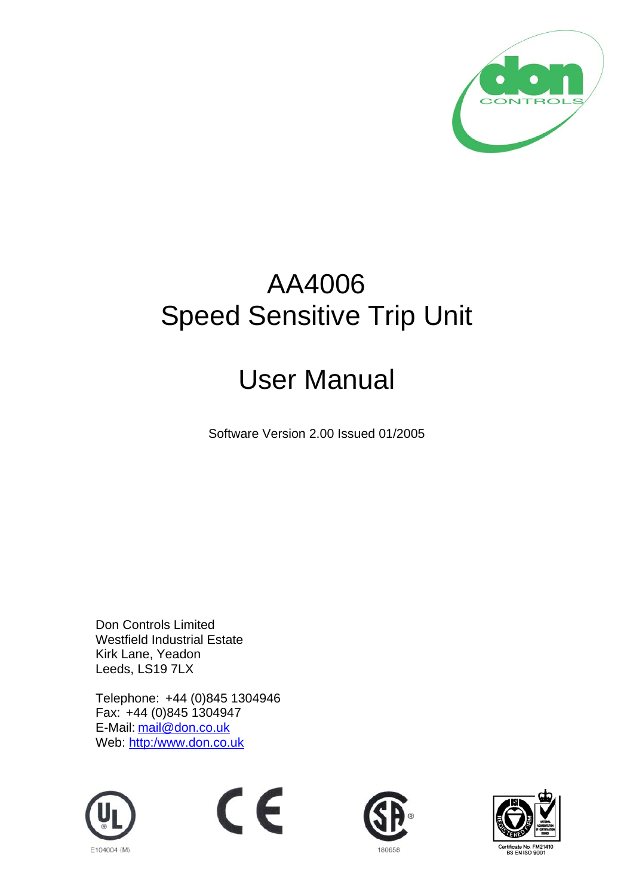

# AA4006 Speed Sensitive Trip Unit

# User Manual

Software Version 2.00 Issued 01/2005

Don Controls Limited Westfield Industrial Estate Kirk Lane, Yeadon Leeds, LS19 7LX

Telephone: +44 (0)845 1304946 Fax: +44 (0)845 1304947 E-Mail: mail@don.co.uk Web: http:/www.don.co.uk







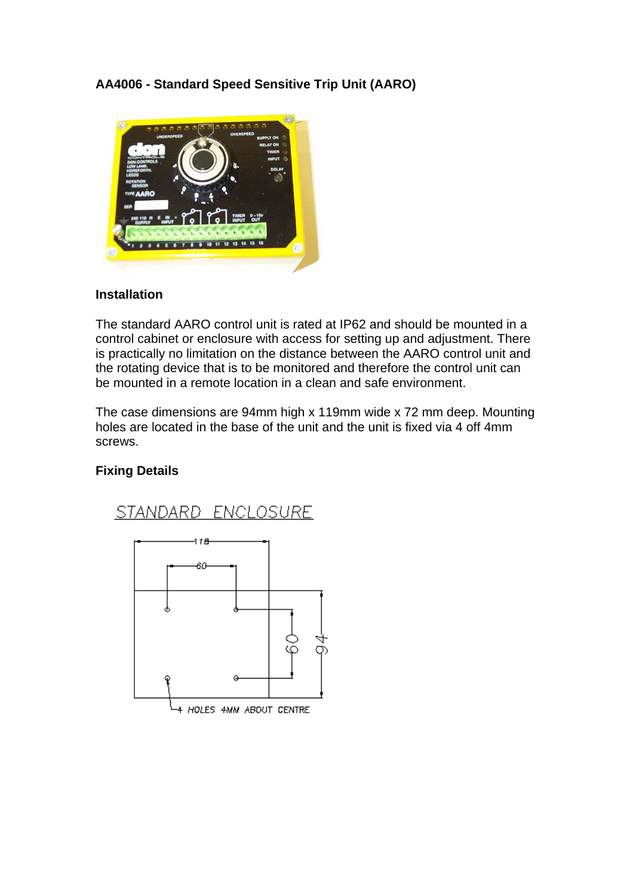**AA4006 - Standard Speed Sensitive Trip Unit (AARO)** 



# **Installation**

The standard AARO control unit is rated at IP62 and should be mounted in a control cabinet or enclosure with access for setting up and adjustment. There is practically no limitation on the distance between the AARO control unit and the rotating device that is to be monitored and therefore the control unit can be mounted in a remote location in a clean and safe environment.

The case dimensions are 94mm high x 119mm wide x 72 mm deep. Mounting holes are located in the base of the unit and the unit is fixed via 4 off 4mm screws.

# **Fixing Details**

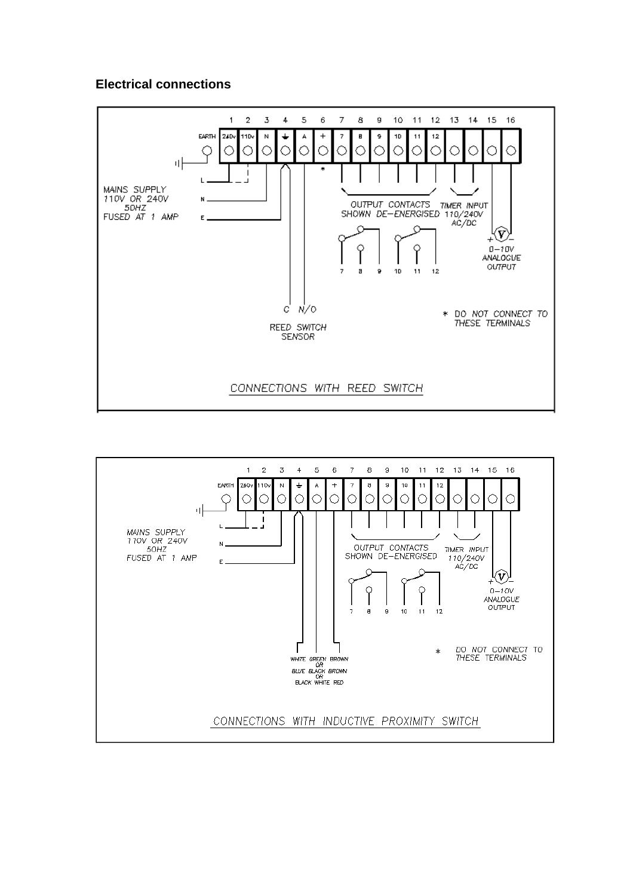### **Electrical connections**



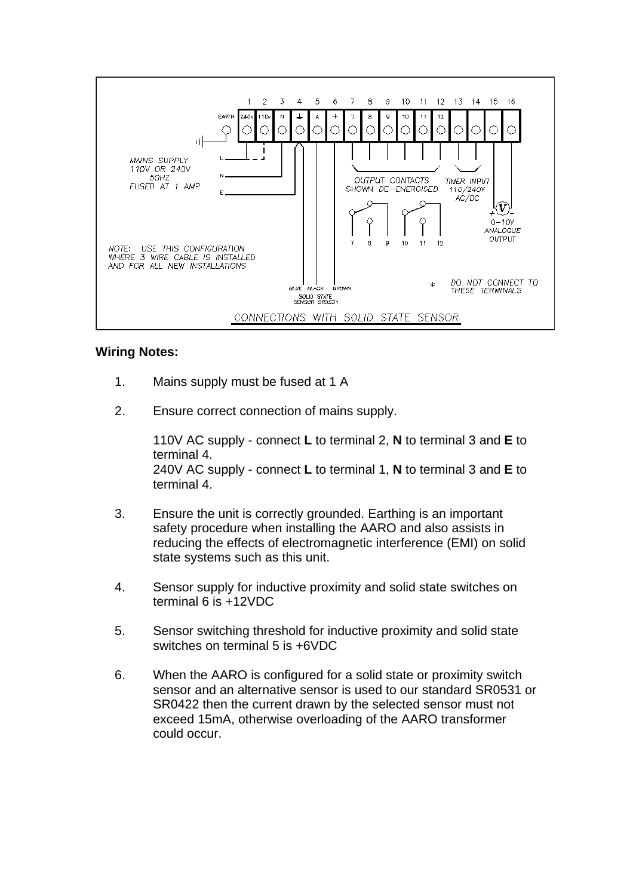

# **Wiring Notes:**

- 1. Mains supply must be fused at 1 A
- 2. Ensure correct connection of mains supply.

110V AC supply - connect **L** to terminal 2, **N** to terminal 3 and **E** to terminal 4. 240V AC supply - connect **L** to terminal 1, **N** to terminal 3 and **E** to terminal 4.

- 3. Ensure the unit is correctly grounded. Earthing is an important safety procedure when installing the AARO and also assists in reducing the effects of electromagnetic interference (EMI) on solid state systems such as this unit.
- 4. Sensor supply for inductive proximity and solid state switches on terminal 6 is +12VDC
- 5. Sensor switching threshold for inductive proximity and solid state switches on terminal 5 is +6VDC
- 6. When the AARO is configured for a solid state or proximity switch sensor and an alternative sensor is used to our standard SR0531 or SR0422 then the current drawn by the selected sensor must not exceed 15mA, otherwise overloading of the AARO transformer could occur.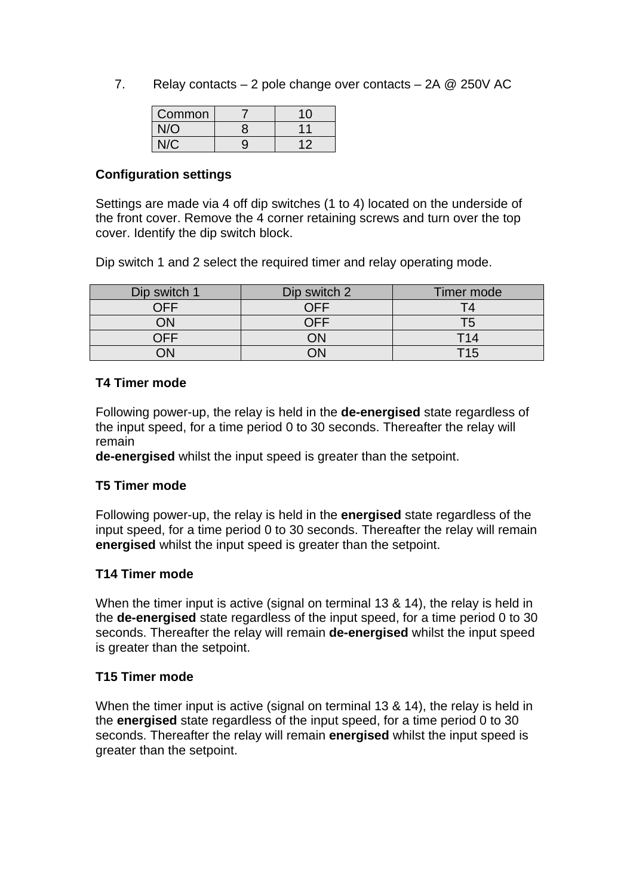7. Relay contacts – 2 pole change over contacts – 2A @ 250V AC

| Common |   | 10 |
|--------|---|----|
| J/O    | o |    |
|        | 9 |    |

### **Configuration settings**

Settings are made via 4 off dip switches (1 to 4) located on the underside of the front cover. Remove the 4 corner retaining screws and turn over the top cover. Identify the dip switch block.

Dip switch 1 and 2 select the required timer and relay operating mode.

| Dip switch 1 | Dip switch 2 | Timer mode |
|--------------|--------------|------------|
| ∩FF          |              |            |
| )N           |              |            |
| <b>NEE</b>   |              | T14        |
|              |              | T15        |

#### **T4 Timer mode**

Following power-up, the relay is held in the **de-energised** state regardless of the input speed, for a time period 0 to 30 seconds. Thereafter the relay will remain

**de-energised** whilst the input speed is greater than the setpoint.

# **T5 Timer mode**

Following power-up, the relay is held in the **energised** state regardless of the input speed, for a time period 0 to 30 seconds. Thereafter the relay will remain **energised** whilst the input speed is greater than the setpoint.

# **T14 Timer mode**

When the timer input is active (signal on terminal 13 & 14), the relay is held in the **de-energised** state regardless of the input speed, for a time period 0 to 30 seconds. Thereafter the relay will remain **de-energised** whilst the input speed is greater than the setpoint.

#### **T15 Timer mode**

When the timer input is active (signal on terminal 13 & 14), the relay is held in the **energised** state regardless of the input speed, for a time period 0 to 30 seconds. Thereafter the relay will remain **energised** whilst the input speed is greater than the setpoint.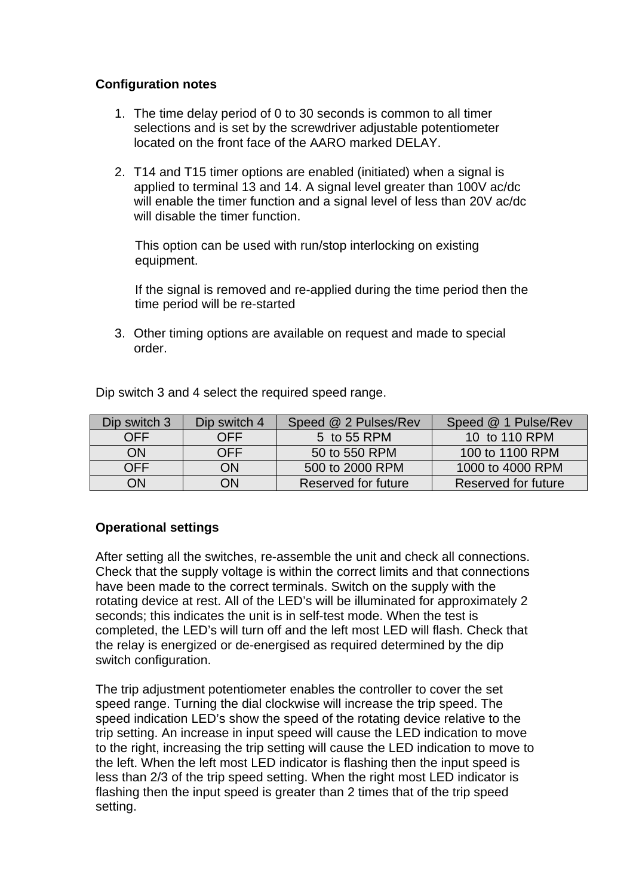# **Configuration notes**

- 1. The time delay period of 0 to 30 seconds is common to all timer selections and is set by the screwdriver adjustable potentiometer located on the front face of the AARO marked DELAY.
- 2. T14 and T15 timer options are enabled (initiated) when a signal is applied to terminal 13 and 14. A signal level greater than 100V ac/dc will enable the timer function and a signal level of less than 20V ac/dc will disable the timer function

 This option can be used with run/stop interlocking on existing equipment.

 If the signal is removed and re-applied during the time period then the time period will be re-started

3. Other timing options are available on request and made to special order.

| Dip switch 3 | Dip switch 4 | Speed @ 2 Pulses/Rev | Speed @ 1 Pulse/Rev |
|--------------|--------------|----------------------|---------------------|
| <b>OFF</b>   | <b>OFF</b>   | $5$ to 55 RPM        | 10 to 110 RPM       |
| ON           | OFF          | 50 to 550 RPM        | 100 to 1100 RPM     |
| <b>OFF</b>   | ON           | 500 to 2000 RPM      | 1000 to 4000 RPM    |
| ON           | ΟN           | Reserved for future  | Reserved for future |

Dip switch 3 and 4 select the required speed range.

# **Operational settings**

After setting all the switches, re-assemble the unit and check all connections. Check that the supply voltage is within the correct limits and that connections have been made to the correct terminals. Switch on the supply with the rotating device at rest. All of the LED's will be illuminated for approximately 2 seconds; this indicates the unit is in self-test mode. When the test is completed, the LED's will turn off and the left most LED will flash. Check that the relay is energized or de-energised as required determined by the dip switch configuration.

The trip adjustment potentiometer enables the controller to cover the set speed range. Turning the dial clockwise will increase the trip speed. The speed indication LED's show the speed of the rotating device relative to the trip setting. An increase in input speed will cause the LED indication to move to the right, increasing the trip setting will cause the LED indication to move to the left. When the left most LED indicator is flashing then the input speed is less than 2/3 of the trip speed setting. When the right most LED indicator is flashing then the input speed is greater than 2 times that of the trip speed setting.